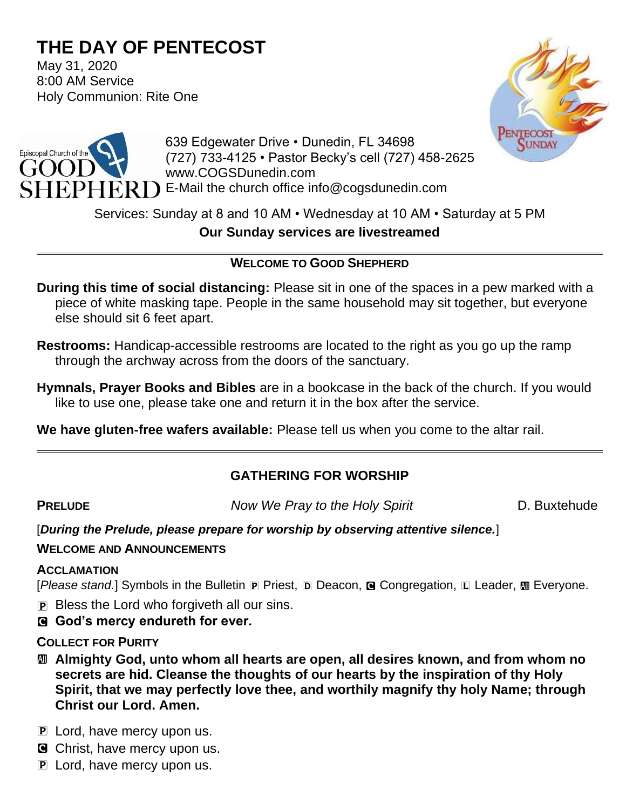# **THE DAY OF PENTECOST**

May 31, 2020 8:00 AM Service Holy Communion: Rite One





639 Edgewater Drive • Dunedin, FL 34698 (727) 733-4125 • Pastor Becky's cell (727) 458-2625 www.COGSDunedin.com E-Mail the church office info@cogsdunedin.com

Services: Sunday at 8 and 10 AM • Wednesday at 10 AM • Saturday at 5 PM

# **Our Sunday services are livestreamed**

# **WELCOME TO GOOD SHEPHERD**

- **During this time of social distancing:** Please sit in one of the spaces in a pew marked with a piece of white masking tape. People in the same household may sit together, but everyone else should sit 6 feet apart.
- **Restrooms:** Handicap-accessible restrooms are located to the right as you go up the ramp through the archway across from the doors of the sanctuary.
- **Hymnals, Prayer Books and Bibles** are in a bookcase in the back of the church. If you would like to use one, please take one and return it in the box after the service.

**We have gluten-free wafers available:** Please tell us when you come to the altar rail.

# **GATHERING FOR WORSHIP**

**PRELUDE** *Now We Pray to the Holy Spirit* D. Buxtehude

## [*During the Prelude, please prepare for worship by observing attentive silence.*]

#### **WELCOME AND ANNOUNCEMENTS**

#### **ACCLAMATION**

[*Please stand.*] Symbols in the Bulletin P Priest, D Deacon, **G** Congregation, L Leader, **M** Everyone.

- P Bless the Lord who forgiveth all our sins.
- C **God's mercy endureth for ever.**

## **COLLECT FOR PURITY**

- a **Almighty God, unto whom all hearts are open, all desires known, and from whom no secrets are hid. Cleanse the thoughts of our hearts by the inspiration of thy Holy Spirit, that we may perfectly love thee, and worthily magnify thy holy Name; through Christ our Lord. Amen.**
- **P** Lord, have mercy upon us.
- **G** Christ, have mercy upon us.
- **P** Lord, have mercy upon us.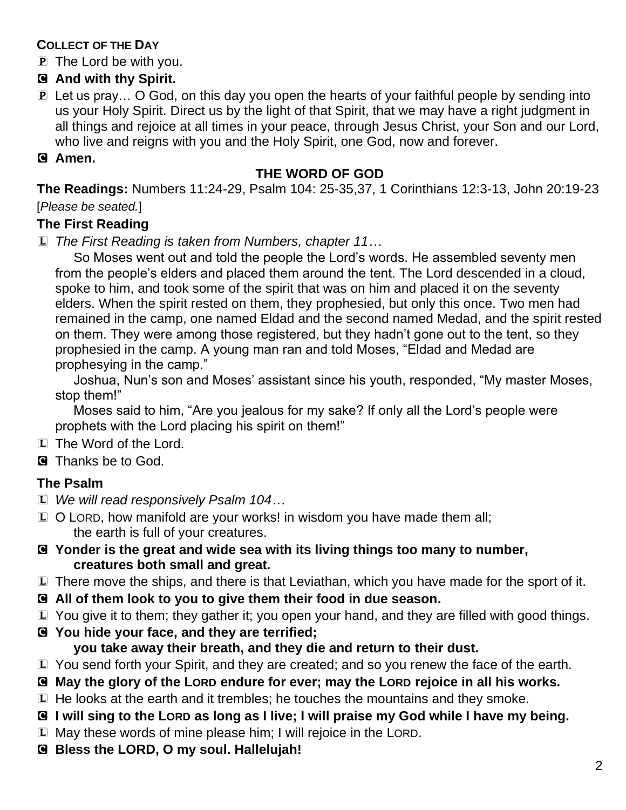## **COLLECT OF THE DAY**

P The Lord be with you.

## C **And with thy Spirit.**

P Let us pray… O God, on this day you open the hearts of your faithful people by sending into us your Holy Spirit. Direct us by the light of that Spirit, that we may have a right judgment in all things and rejoice at all times in your peace, through Jesus Christ, your Son and our Lord, who live and reigns with you and the Holy Spirit, one God, now and forever.

#### C **Amen.**

#### **THE WORD OF GOD**

**The Readings:** Numbers 11:24-29, Psalm 104: 25-35,37, 1 Corinthians 12:3-13, John 20:19-23 [*Please be seated.*]

## **The First Reading**

L *The First Reading is taken from Numbers, chapter 11…*

So Moses went out and told the people the Lord's words. He assembled seventy men from the people's elders and placed them around the tent. The Lord descended in a cloud, spoke to him, and took some of the spirit that was on him and placed it on the seventy elders. When the spirit rested on them, they prophesied, but only this once. Two men had remained in the camp, one named Eldad and the second named Medad, and the spirit rested on them. They were among those registered, but they hadn't gone out to the tent, so they prophesied in the camp. A young man ran and told Moses, "Eldad and Medad are prophesying in the camp."

Joshua, Nun's son and Moses' assistant since his youth, responded, "My master Moses, stop them!"

Moses said to him, "Are you jealous for my sake? If only all the Lord's people were prophets with the Lord placing his spirit on them!"

#### L The Word of the Lord.

**G** Thanks be to God.

## **The Psalm**

- L *We will read responsively Psalm 104…*
- L O LORD, how manifold are your works! in wisdom you have made them all; the earth is full of your creatures.
- C **Yonder is the great and wide sea with its living things too many to number, creatures both small and great.**
- L There move the ships, and there is that Leviathan, which you have made for the sport of it.
- C **All of them look to you to give them their food in due season.**
- L You give it to them; they gather it; you open your hand, and they are filled with good things.
- C **You hide your face, and they are terrified;** 
	- **you take away their breath, and they die and return to their dust.**
- L You send forth your Spirit, and they are created; and so you renew the face of the earth.
- C **May the glory of the LORD endure for ever; may the LORD rejoice in all his works.**
- L He looks at the earth and it trembles; he touches the mountains and they smoke.
- C **I will sing to the LORD as long as I live; I will praise my God while I have my being.**
- L May these words of mine please him; I will rejoice in the LORD.
- C **Bless the LORD, O my soul. Hallelujah!**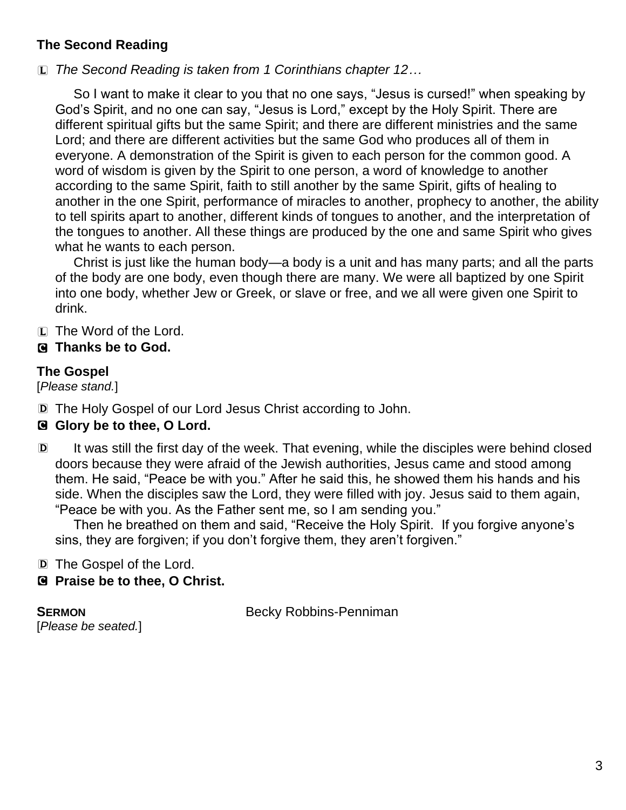## **The Second Reading**

L *The Second Reading is taken from 1 Corinthians chapter 12…*

So I want to make it clear to you that no one says, "Jesus is cursed!" when speaking by God's Spirit, and no one can say, "Jesus is Lord," except by the Holy Spirit. There are different spiritual gifts but the same Spirit; and there are different ministries and the same Lord; and there are different activities but the same God who produces all of them in everyone. A demonstration of the Spirit is given to each person for the common good. A word of wisdom is given by the Spirit to one person, a word of knowledge to another according to the same Spirit, faith to still another by the same Spirit, gifts of healing to another in the one Spirit, performance of miracles to another, prophecy to another, the ability to tell spirits apart to another, different kinds of tongues to another, and the interpretation of the tongues to another. All these things are produced by the one and same Spirit who gives what he wants to each person.

Christ is just like the human body—a body is a unit and has many parts; and all the parts of the body are one body, even though there are many. We were all baptized by one Spirit into one body, whether Jew or Greek, or slave or free, and we all were given one Spirit to drink.

L The Word of the Lord.

## C **Thanks be to God.**

## **The Gospel**

[*Please stand.*]

D The Holy Gospel of our Lord Jesus Christ according to John.

## C **Glory be to thee, O Lord.**

D It was still the first day of the week. That evening, while the disciples were behind closed doors because they were afraid of the Jewish authorities, Jesus came and stood among them. He said, "Peace be with you." After he said this, he showed them his hands and his side. When the disciples saw the Lord, they were filled with joy. Jesus said to them again, "Peace be with you. As the Father sent me, so I am sending you."

Then he breathed on them and said, "Receive the Holy Spirit. If you forgive anyone's sins, they are forgiven; if you don't forgive them, they aren't forgiven."

D The Gospel of the Lord.

## C **Praise be to thee, O Christ.**

[*Please be seated.*]

**SERMON** Becky Robbins-Penniman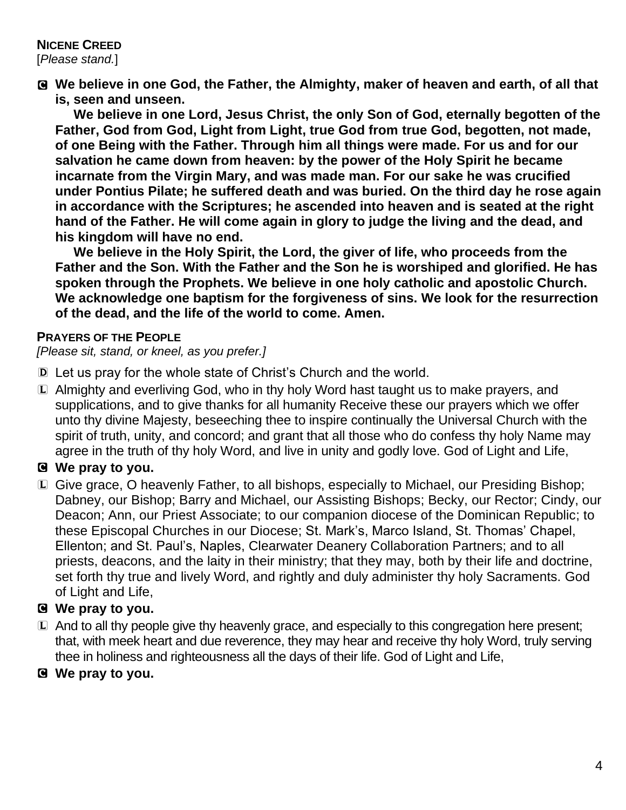C **We believe in one God, the Father, the Almighty, maker of heaven and earth, of all that is, seen and unseen.** 

**We believe in one Lord, Jesus Christ, the only Son of God, eternally begotten of the Father, God from God, Light from Light, true God from true God, begotten, not made, of one Being with the Father. Through him all things were made. For us and for our salvation he came down from heaven: by the power of the Holy Spirit he became incarnate from the Virgin Mary, and was made man. For our sake he was crucified under Pontius Pilate; he suffered death and was buried. On the third day he rose again in accordance with the Scriptures; he ascended into heaven and is seated at the right hand of the Father. He will come again in glory to judge the living and the dead, and his kingdom will have no end.**

**We believe in the Holy Spirit, the Lord, the giver of life, who proceeds from the Father and the Son. With the Father and the Son he is worshiped and glorified. He has spoken through the Prophets. We believe in one holy catholic and apostolic Church. We acknowledge one baptism for the forgiveness of sins. We look for the resurrection of the dead, and the life of the world to come. Amen.**

#### **PRAYERS OF THE PEOPLE**

*[Please sit, stand, or kneel, as you prefer.]*

- D Let us pray for the whole state of Christ's Church and the world.
- L Almighty and everliving God, who in thy holy Word hast taught us to make prayers, and supplications, and to give thanks for all humanity Receive these our prayers which we offer unto thy divine Majesty, beseeching thee to inspire continually the Universal Church with the spirit of truth, unity, and concord; and grant that all those who do confess thy holy Name may agree in the truth of thy holy Word, and live in unity and godly love. God of Light and Life,

#### C **We pray to you.**

L Give grace, O heavenly Father, to all bishops, especially to Michael, our Presiding Bishop; Dabney, our Bishop; Barry and Michael, our Assisting Bishops; Becky, our Rector; Cindy, our Deacon; Ann, our Priest Associate; to our companion diocese of the Dominican Republic; to these Episcopal Churches in our Diocese; St. Mark's, Marco Island, St. Thomas' Chapel, Ellenton; and St. Paul's, Naples, Clearwater Deanery Collaboration Partners; and to all priests, deacons, and the laity in their ministry; that they may, both by their life and doctrine, set forth thy true and lively Word, and rightly and duly administer thy holy Sacraments. God of Light and Life,

#### C **We pray to you.**

- L And to all thy people give thy heavenly grace, and especially to this congregation here present; that, with meek heart and due reverence, they may hear and receive thy holy Word, truly serving thee in holiness and righteousness all the days of their life. God of Light and Life,
- C **We pray to you.**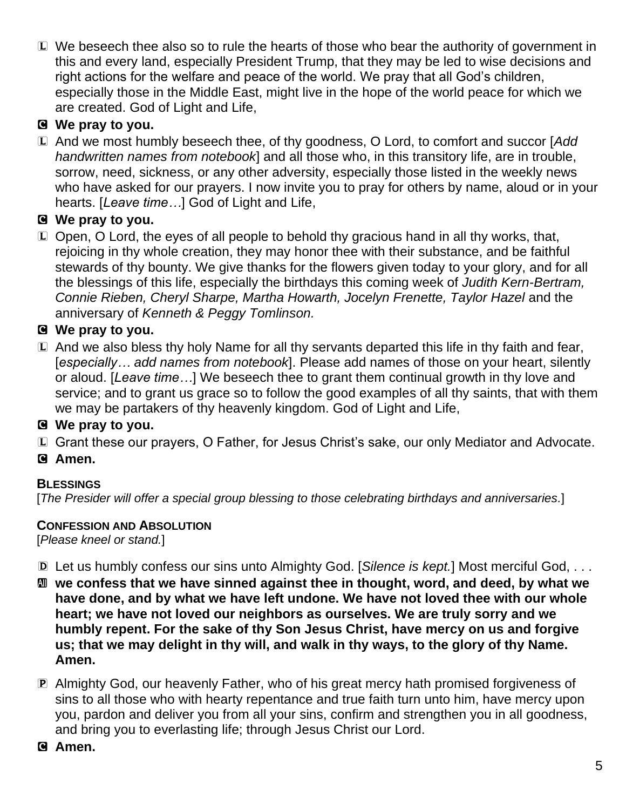L We beseech thee also so to rule the hearts of those who bear the authority of government in this and every land, especially President Trump, that they may be led to wise decisions and right actions for the welfare and peace of the world. We pray that all God's children, especially those in the Middle East, might live in the hope of the world peace for which we are created. God of Light and Life,

# C **We pray to you.**

L And we most humbly beseech thee, of thy goodness, O Lord, to comfort and succor [*Add handwritten names from notebook*] and all those who, in this transitory life, are in trouble, sorrow, need, sickness, or any other adversity, especially those listed in the weekly news who have asked for our prayers. I now invite you to pray for others by name, aloud or in your hearts. [*Leave time…*] God of Light and Life,

# C **We pray to you.**

L Open, O Lord, the eyes of all people to behold thy gracious hand in all thy works, that, rejoicing in thy whole creation, they may honor thee with their substance, and be faithful stewards of thy bounty. We give thanks for the flowers given today to your glory, and for all the blessings of this life, especially the birthdays this coming week of *Judith Kern-Bertram, Connie Rieben, Cheryl Sharpe, Martha Howarth, Jocelyn Frenette, Taylor Hazel* and the anniversary of *Kenneth & Peggy Tomlinson.*

# C **We pray to you.**

L And we also bless thy holy Name for all thy servants departed this life in thy faith and fear, [*especially… add names from notebook*]. Please add names of those on your heart, silently or aloud. [*Leave time…*] We beseech thee to grant them continual growth in thy love and service; and to grant us grace so to follow the good examples of all thy saints, that with them we may be partakers of thy heavenly kingdom. God of Light and Life,

# C **We pray to you.**

L Grant these our prayers, O Father, for Jesus Christ's sake, our only Mediator and Advocate.

C **Amen.**

# **BLESSINGS**

[*The Presider will offer a special group blessing to those celebrating birthdays and anniversaries.*]

## **CONFESSION AND ABSOLUTION**

[*Please kneel or stand.*]

- D Let us humbly confess our sins unto Almighty God. [*Silence is kept.*] Most merciful God, . . .
- $\blacksquare$  we confess that we have sinned against thee in thought, word, and deed, by what we **have done, and by what we have left undone. We have not loved thee with our whole heart; we have not loved our neighbors as ourselves. We are truly sorry and we humbly repent. For the sake of thy Son Jesus Christ, have mercy on us and forgive us; that we may delight in thy will, and walk in thy ways, to the glory of thy Name. Amen.**
- P Almighty God, our heavenly Father, who of his great mercy hath promised forgiveness of sins to all those who with hearty repentance and true faith turn unto him, have mercy upon you, pardon and deliver you from all your sins, confirm and strengthen you in all goodness, and bring you to everlasting life; through Jesus Christ our Lord.

## C **Amen.**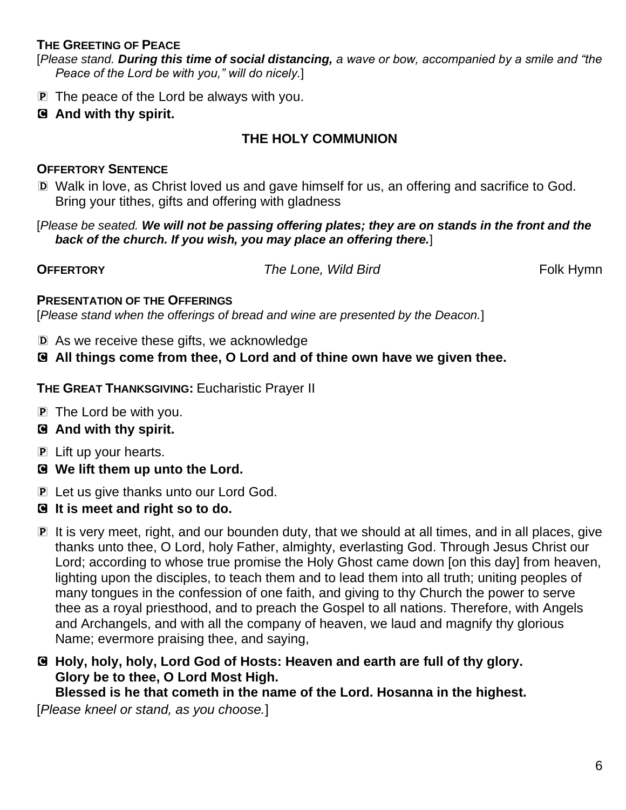#### **THE GREETING OF PEACE**

[*Please stand. During this time of social distancing, a wave or bow, accompanied by a smile and "the Peace of the Lord be with you," will do nicely.*]

- P The peace of the Lord be always with you.
- C **And with thy spirit.**

## **THE HOLY COMMUNION**

#### **OFFERTORY SENTENCE**

D Walk in love, as Christ loved us and gave himself for us, an offering and sacrifice to God. Bring your tithes, gifts and offering with gladness

[*Please be seated. We will not be passing offering plates; they are on stands in the front and the back of the church. If you wish, you may place an offering there.*]

**OFFERTORY** *The Lone, Wild Bird* **Folk Hymn** 

#### **PRESENTATION OF THE OFFERINGS**

[*Please stand when the offerings of bread and wine are presented by the Deacon.*]

D As we receive these gifts, we acknowledge

C **All things come from thee, O Lord and of thine own have we given thee.**

**THE GREAT THANKSGIVING:** Eucharistic Prayer II

- P The Lord be with you.
- C **And with thy spirit.**
- P Lift up your hearts.
- C **We lift them up unto the Lord.**
- P Let us give thanks unto our Lord God.
- C **It is meet and right so to do.**
- P It is very meet, right, and our bounden duty, that we should at all times, and in all places, give thanks unto thee, O Lord, holy Father, almighty, everlasting God. Through Jesus Christ our Lord; according to whose true promise the Holy Ghost came down [on this day] from heaven, lighting upon the disciples, to teach them and to lead them into all truth; uniting peoples of many tongues in the confession of one faith, and giving to thy Church the power to serve thee as a royal priesthood, and to preach the Gospel to all nations. Therefore, with Angels and Archangels, and with all the company of heaven, we laud and magnify thy glorious Name; evermore praising thee, and saying,
- C **Holy, holy, holy, Lord God of Hosts: Heaven and earth are full of thy glory. Glory be to thee, O Lord Most High.**

#### **Blessed is he that cometh in the name of the Lord. Hosanna in the highest.**

[*Please kneel or stand, as you choose.*]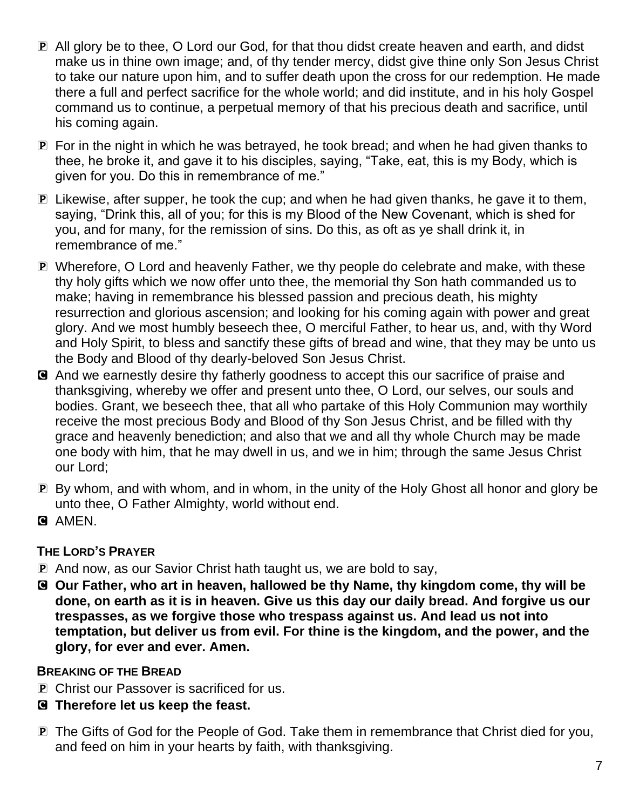- P All glory be to thee, O Lord our God, for that thou didst create heaven and earth, and didst make us in thine own image; and, of thy tender mercy, didst give thine only Son Jesus Christ to take our nature upon him, and to suffer death upon the cross for our redemption. He made there a full and perfect sacrifice for the whole world; and did institute, and in his holy Gospel command us to continue, a perpetual memory of that his precious death and sacrifice, until his coming again.
- P For in the night in which he was betrayed, he took bread; and when he had given thanks to thee, he broke it, and gave it to his disciples, saying, "Take, eat, this is my Body, which is given for you. Do this in remembrance of me."
- P Likewise, after supper, he took the cup; and when he had given thanks, he gave it to them, saying, "Drink this, all of you; for this is my Blood of the New Covenant, which is shed for you, and for many, for the remission of sins. Do this, as oft as ye shall drink it, in remembrance of me."
- P Wherefore, O Lord and heavenly Father, we thy people do celebrate and make, with these thy holy gifts which we now offer unto thee, the memorial thy Son hath commanded us to make; having in remembrance his blessed passion and precious death, his mighty resurrection and glorious ascension; and looking for his coming again with power and great glory. And we most humbly beseech thee, O merciful Father, to hear us, and, with thy Word and Holy Spirit, to bless and sanctify these gifts of bread and wine, that they may be unto us the Body and Blood of thy dearly-beloved Son Jesus Christ.
- C And we earnestly desire thy fatherly goodness to accept this our sacrifice of praise and thanksgiving, whereby we offer and present unto thee, O Lord, our selves, our souls and bodies. Grant, we beseech thee, that all who partake of this Holy Communion may worthily receive the most precious Body and Blood of thy Son Jesus Christ, and be filled with thy grace and heavenly benediction; and also that we and all thy whole Church may be made one body with him, that he may dwell in us, and we in him; through the same Jesus Christ our Lord;
- P By whom, and with whom, and in whom, in the unity of the Holy Ghost all honor and glory be unto thee, O Father Almighty, world without end.
- G AMEN.

## **THE LORD'S PRAYER**

- P And now, as our Savior Christ hath taught us, we are bold to say,
- C **Our Father, who art in heaven, hallowed be thy Name, thy kingdom come, thy will be done, on earth as it is in heaven. Give us this day our daily bread. And forgive us our trespasses, as we forgive those who trespass against us. And lead us not into temptation, but deliver us from evil. For thine is the kingdom, and the power, and the glory, for ever and ever. Amen.**

## **BREAKING OF THE BREAD**

- **P** Christ our Passover is sacrificed for us.
- C **Therefore let us keep the feast.**
- P The Gifts of God for the People of God. Take them in remembrance that Christ died for you, and feed on him in your hearts by faith, with thanksgiving.